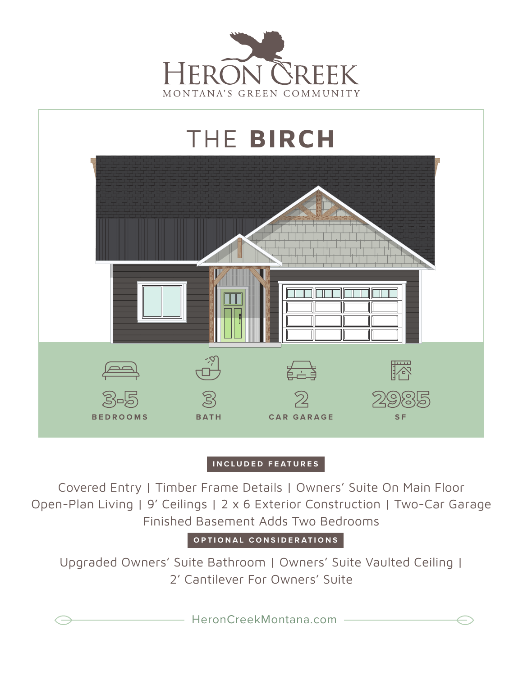



## **INCLUDED FEATURES**

Covered Entry | Timber Frame Details | Owners' Suite On Main Floor Open-Plan Living | 9' Ceilings | 2 x 6 Exterior Construction | Two-Car Garage Finished Basement Adds Two Bedrooms

**OPTIONAL CONSIDERATIONS**

Upgraded Owners' Suite Bathroom | Owners' Suite Vaulted Ceiling | 2' Cantilever For Owners' Suite

HeronCreekMontana.com